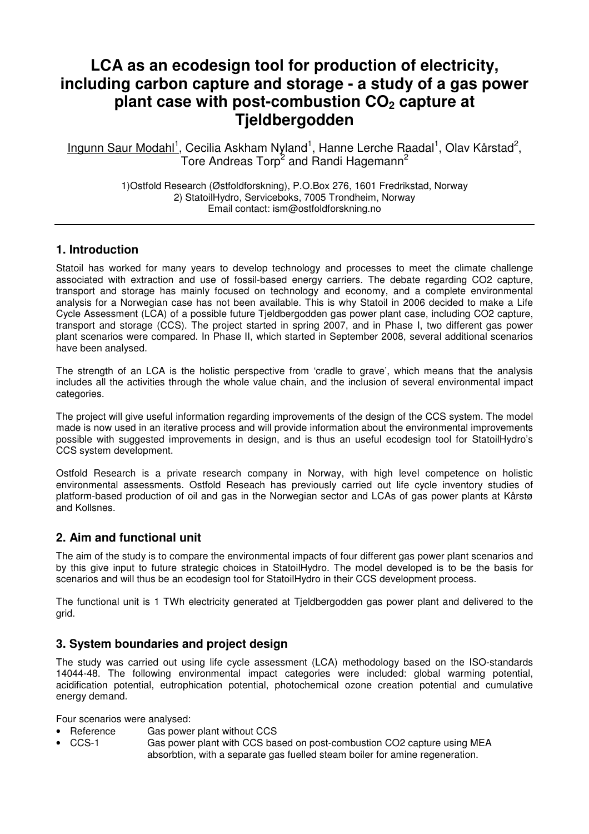# **LCA as an ecodesign tool for production of electricity, including carbon capture and storage - a study of a gas power plant case with post-combustion CO2 capture at Tjeldbergodden**

Ingunn Saur Modahl<sup>1</sup>, Cecilia Askham Nyland<sup>1</sup>, Hanne Lerche Raadal<sup>1</sup>, Olav Kårstad<sup>2</sup>, Tore Andreas Torp<sup>2</sup> and Randi Hagemann<sup>2</sup>

> 1)Ostfold Research (Østfoldforskning), P.O.Box 276, 1601 Fredrikstad, Norway 2) StatoilHydro, Serviceboks, 7005 Trondheim, Norway Email contact: ism@ostfoldforskning.no

### **1. Introduction**

Statoil has worked for many years to develop technology and processes to meet the climate challenge associated with extraction and use of fossil-based energy carriers. The debate regarding CO2 capture, transport and storage has mainly focused on technology and economy, and a complete environmental analysis for a Norwegian case has not been available. This is why Statoil in 2006 decided to make a Life Cycle Assessment (LCA) of a possible future Tjeldbergodden gas power plant case, including CO2 capture, transport and storage (CCS). The project started in spring 2007, and in Phase I, two different gas power plant scenarios were compared. In Phase II, which started in September 2008, several additional scenarios have been analysed.

The strength of an LCA is the holistic perspective from 'cradle to grave', which means that the analysis includes all the activities through the whole value chain, and the inclusion of several environmental impact categories.

The project will give useful information regarding improvements of the design of the CCS system. The model made is now used in an iterative process and will provide information about the environmental improvements possible with suggested improvements in design, and is thus an useful ecodesign tool for StatoilHydro's CCS system development.

Ostfold Research is a private research company in Norway, with high level competence on holistic environmental assessments. Ostfold Reseach has previously carried out life cycle inventory studies of platform-based production of oil and gas in the Norwegian sector and LCAs of gas power plants at Kårstø and Kollsnes.

### **2. Aim and functional unit**

The aim of the study is to compare the environmental impacts of four different gas power plant scenarios and by this give input to future strategic choices in StatoilHydro. The model developed is to be the basis for scenarios and will thus be an ecodesign tool for StatoilHydro in their CCS development process.

The functional unit is 1 TWh electricity generated at Tjeldbergodden gas power plant and delivered to the grid.

### **3. System boundaries and project design**

The study was carried out using life cycle assessment (LCA) methodology based on the ISO-standards 14044-48. The following environmental impact categories were included: global warming potential, acidification potential, eutrophication potential, photochemical ozone creation potential and cumulative energy demand.

Four scenarios were analysed:

- Reference Gas power plant without CCS
- CCS-1 Gas power plant with CCS based on post-combustion CO2 capture using MEA absorbtion, with a separate gas fuelled steam boiler for amine regeneration.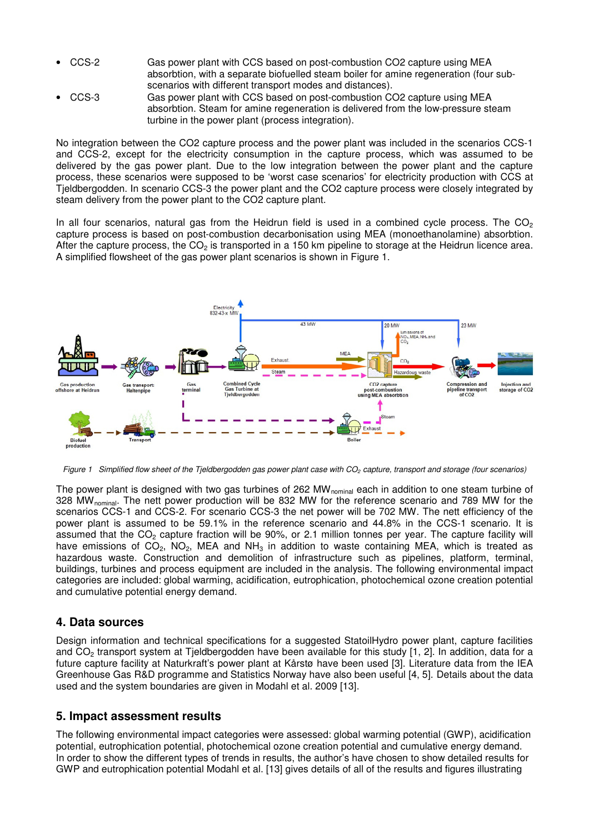- CCS-2 Gas power plant with CCS based on post-combustion CO2 capture using MEA absorbtion, with a separate biofuelled steam boiler for amine regeneration (four subscenarios with different transport modes and distances).
- CCS-3 Gas power plant with CCS based on post-combustion CO2 capture using MEA absorbtion. Steam for amine regeneration is delivered from the low-pressure steam turbine in the power plant (process integration).

No integration between the CO2 capture process and the power plant was included in the scenarios CCS-1 and CCS-2, except for the electricity consumption in the capture process, which was assumed to be delivered by the gas power plant. Due to the low integration between the power plant and the capture process, these scenarios were supposed to be 'worst case scenarios' for electricity production with CCS at Tjeldbergodden. In scenario CCS-3 the power plant and the CO2 capture process were closely integrated by steam delivery from the power plant to the CO2 capture plant.

In all four scenarios, natural gas from the Heidrun field is used in a combined cycle process. The  $CO<sub>2</sub>$ capture process is based on post-combustion decarbonisation using MEA (monoethanolamine) absorbtion. After the capture process, the  $CO<sub>2</sub>$  is transported in a 150 km pipeline to storage at the Heidrun licence area. A simplified flowsheet of the gas power plant scenarios is shown in Figure 1.



Figure 1 Simplified flow sheet of the Tjeldbergodden gas power plant case with  $CO<sub>2</sub>$  capture, transport and storage (four scenarios)

The power plant is designed with two gas turbines of 262 MW<sub>nominal</sub> each in addition to one steam turbine of 328 MW<sub>nominal</sub>. The nett power production will be 832 MW for the reference scenario and 789 MW for the scenarios CCS-1 and CCS-2. For scenario CCS-3 the net power will be 702 MW. The nett efficiency of the power plant is assumed to be 59.1% in the reference scenario and 44.8% in the CCS-1 scenario. It is assumed that the  $CO<sub>2</sub>$  capture fraction will be 90%, or 2.1 million tonnes per year. The capture facility will have emissions of  $CO_2$ ,  $NO_2$ , MEA and  $NH_3$  in addition to waste containing MEA, which is treated as hazardous waste. Construction and demolition of infrastructure such as pipelines, platform, terminal, buildings, turbines and process equipment are included in the analysis. The following environmental impact categories are included: global warming, acidification, eutrophication, photochemical ozone creation potential and cumulative potential energy demand.

### **4. Data sources**

Design information and technical specifications for a suggested StatoilHydro power plant, capture facilities and CO<sub>2</sub> transport system at Tjeldbergodden have been available for this study [1, 2]. In addition, data for a future capture facility at Naturkraft's power plant at Kårstø have been used [3]. Literature data from the IEA Greenhouse Gas R&D programme and Statistics Norway have also been useful [4, 5]. Details about the data used and the system boundaries are given in Modahl et al. 2009 [13].

### **5. Impact assessment results**

The following environmental impact categories were assessed: global warming potential (GWP), acidification potential, eutrophication potential, photochemical ozone creation potential and cumulative energy demand. In order to show the different types of trends in results, the author's have chosen to show detailed results for GWP and eutrophication potential Modahl et al. [13] gives details of all of the results and figures illustrating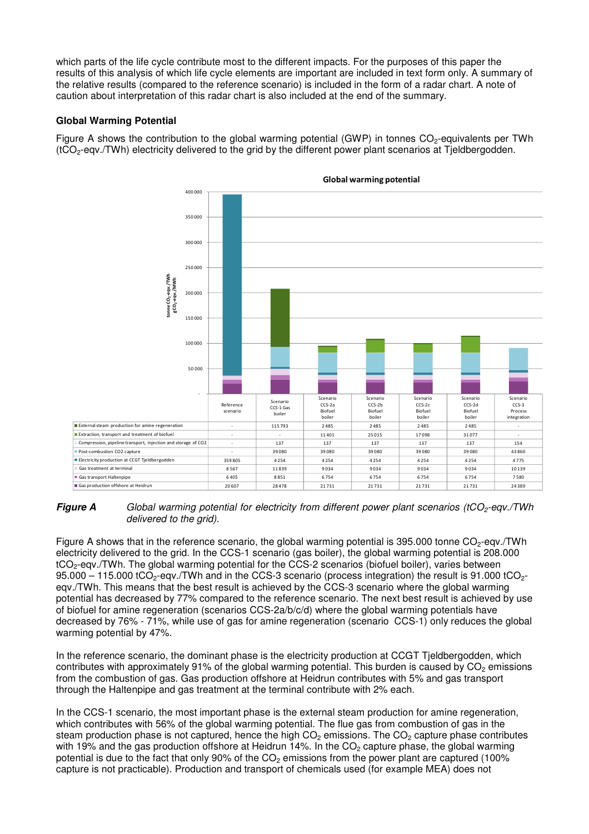which parts of the life cycle contribute most to the different impacts. For the purposes of this paper the results of this analysis of which life cycle elements are important are included in text form only. A summary of the relative results (compared to the reference scenario) is included in the form of a radar chart. A note of caution about interpretation of this radar chart is also included at the end of the summary.

#### **Global Warming Potential**

Figure A shows the contribution to the global warming potential (GWP) in tonnes  $CO<sub>2</sub>$ -equivalents per TWh (tCO2-eqv./TWh) electricity delivered to the grid by the different power plant scenarios at Tjeldbergodden.



#### Global warming potential

**Figure A** Global warming potential for electricity from different power plant scenarios (tCO<sub>2</sub>-eqv./TWh delivered to the grid).

Figure A shows that in the reference scenario, the global warming potential is 395.000 tonne  $CO<sub>2</sub>$ -egv./TWh electricity delivered to the grid. In the CCS-1 scenario (gas boiler), the global warming potential is 208.000 tCO2-eqv./TWh. The global warming potential for the CCS-2 scenarios (biofuel boiler), varies between 95.000 – 115.000 tCO<sub>2</sub>-eqv./TWh and in the CCS-3 scenario (process integration) the result is 91.000 tCO<sub>2</sub>eqv./TWh. This means that the best result is achieved by the CCS-3 scenario where the global warming potential has decreased by 77% compared to the reference scenario. The next best result is achieved by use of biofuel for amine regeneration (scenarios CCS-2a/b/c/d) where the global warming potentials have decreased by 76% - 71%, while use of gas for amine regeneration (scenario CCS-1) only reduces the global warming potential by 47%.

In the reference scenario, the dominant phase is the electricity production at CCGT Tjeldbergodden, which contributes with approximately 91% of the global warming potential. This burden is caused by  $CO<sub>2</sub>$  emissions from the combustion of gas. Gas production offshore at Heidrun contributes with 5% and gas transport through the Haltenpipe and gas treatment at the terminal contribute with 2% each.

In the CCS-1 scenario, the most important phase is the external steam production for amine regeneration, which contributes with 56% of the global warming potential. The flue gas from combustion of gas in the steam production phase is not captured, hence the high  $CO<sub>2</sub>$  emissions. The  $CO<sub>2</sub>$  capture phase contributes with 19% and the gas production offshore at Heidrun 14%. In the  $CO<sub>2</sub>$  capture phase, the global warming potential is due to the fact that only 90% of the  $CO<sub>2</sub>$  emissions from the power plant are captured (100%) capture is not practicable). Production and transport of chemicals used (for example MEA) does not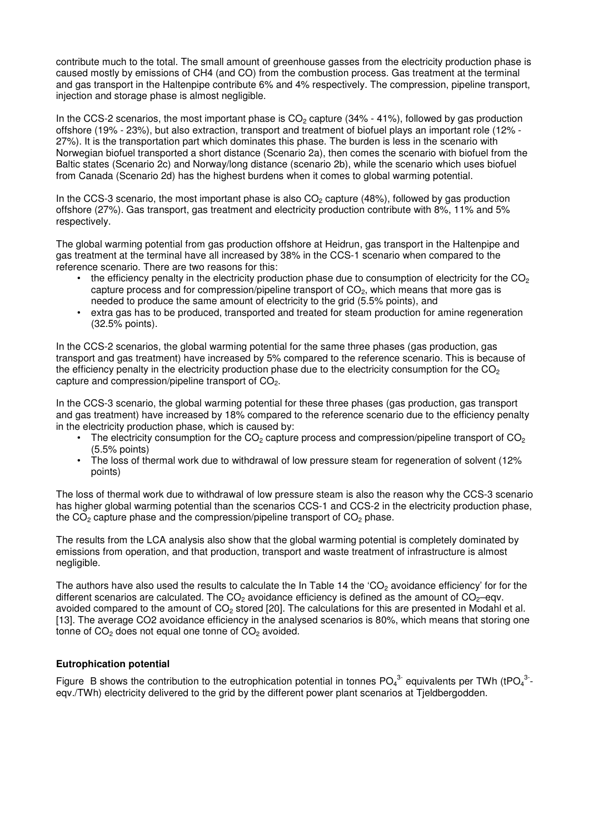contribute much to the total. The small amount of greenhouse gasses from the electricity production phase is caused mostly by emissions of CH4 (and CO) from the combustion process. Gas treatment at the terminal and gas transport in the Haltenpipe contribute 6% and 4% respectively. The compression, pipeline transport, injection and storage phase is almost negligible.

In the CCS-2 scenarios, the most important phase is  $CO<sub>2</sub>$  capture (34% - 41%), followed by gas production offshore (19% - 23%), but also extraction, transport and treatment of biofuel plays an important role (12% - 27%). It is the transportation part which dominates this phase. The burden is less in the scenario with Norwegian biofuel transported a short distance (Scenario 2a), then comes the scenario with biofuel from the Baltic states (Scenario 2c) and Norway/long distance (scenario 2b), while the scenario which uses biofuel from Canada (Scenario 2d) has the highest burdens when it comes to global warming potential.

In the CCS-3 scenario, the most important phase is also  $CO<sub>2</sub>$  capture (48%), followed by gas production offshore (27%). Gas transport, gas treatment and electricity production contribute with 8%, 11% and 5% respectively.

The global warming potential from gas production offshore at Heidrun, gas transport in the Haltenpipe and gas treatment at the terminal have all increased by 38% in the CCS-1 scenario when compared to the reference scenario. There are two reasons for this:

- $\bullet$  the efficiency penalty in the electricity production phase due to consumption of electricity for the CO<sub>2</sub> capture process and for compression/pipeline transport of  $CO<sub>2</sub>$ , which means that more gas is needed to produce the same amount of electricity to the grid (5.5% points), and
- extra gas has to be produced, transported and treated for steam production for amine regeneration (32.5% points).

In the CCS-2 scenarios, the global warming potential for the same three phases (gas production, gas transport and gas treatment) have increased by 5% compared to the reference scenario. This is because of the efficiency penalty in the electricity production phase due to the electricity consumption for the  $CO<sub>2</sub>$ capture and compression/pipeline transport of CO<sub>2</sub>.

In the CCS-3 scenario, the global warming potential for these three phases (gas production, gas transport and gas treatment) have increased by 18% compared to the reference scenario due to the efficiency penalty in the electricity production phase, which is caused by:

- The electricity consumption for the  $CO<sub>2</sub>$  capture process and compression/pipeline transport of  $CO<sub>2</sub>$ (5.5% points)
- The loss of thermal work due to withdrawal of low pressure steam for regeneration of solvent (12% points)

The loss of thermal work due to withdrawal of low pressure steam is also the reason why the CCS-3 scenario has higher global warming potential than the scenarios CCS-1 and CCS-2 in the electricity production phase, the  $CO<sub>2</sub>$  capture phase and the compression/pipeline transport of  $CO<sub>2</sub>$  phase.

The results from the LCA analysis also show that the global warming potential is completely dominated by emissions from operation, and that production, transport and waste treatment of infrastructure is almost negligible.

The authors have also used the results to calculate the In Table 14 the 'CO<sub>2</sub> avoidance efficiency' for for the different scenarios are calculated. The  $CO<sub>2</sub>$  avoidance efficiency is defined as the amount of  $CO<sub>2</sub>$ –eqv. avoided compared to the amount of  $CO<sub>2</sub>$  stored [20]. The calculations for this are presented in Modahl et al. [13]. The average CO2 avoidance efficiency in the analysed scenarios is 80%, which means that storing one tonne of  $CO<sub>2</sub>$  does not equal one tonne of  $CO<sub>2</sub>$  avoided.

#### **Eutrophication potential**

Figure B shows the contribution to the eutrophication potential in tonnes  $PO_4^{3}$  equivalents per TWh (tPO<sub>4</sub><sup>3</sup>eqv./TWh) electricity delivered to the grid by the different power plant scenarios at Tieldbergodden.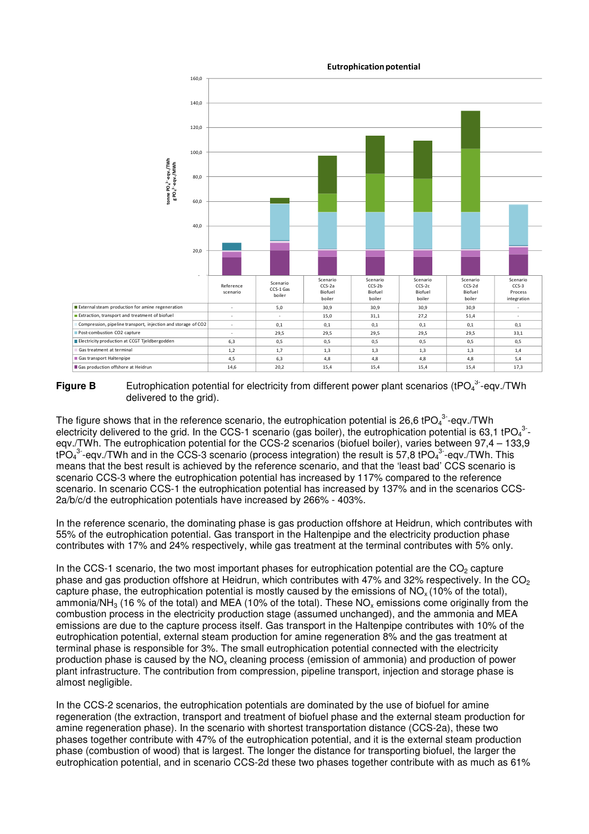

#### Eutrophication potential

**Figure B** Eutrophication potential for electricity from different power plant scenarios (tPO $_4^{3}$ -eqv./TWh delivered to the grid).

The figure shows that in the reference scenario, the eutrophication potential is 26,6 tPO<sub>4</sub><sup>3</sup>-eqv./TWh electricity delivered to the grid. In the CCS-1 scenario (gas boiler), the eutrophication potential is 63,1 tPO<sub>4</sub><sup>3</sup>eqv./TWh. The eutrophication potential for the CCS-2 scenarios (biofuel boiler), varies between 97,4 – 133,9 tPO<sub>4</sub><sup>3</sup>-eqv./TWh and in the CCS-3 scenario (process integration) the result is 57,8 tPO<sub>4</sub><sup>3</sup>-eqv./TWh. This means that the best result is achieved by the reference scenario, and that the 'least bad' CCS scenario is scenario CCS-3 where the eutrophication potential has increased by 117% compared to the reference scenario. In scenario CCS-1 the eutrophication potential has increased by 137% and in the scenarios CCS-2a/b/c/d the eutrophication potentials have increased by 266% - 403%.

In the reference scenario, the dominating phase is gas production offshore at Heidrun, which contributes with 55% of the eutrophication potential. Gas transport in the Haltenpipe and the electricity production phase contributes with 17% and 24% respectively, while gas treatment at the terminal contributes with 5% only.

In the CCS-1 scenario, the two most important phases for eutrophication potential are the  $CO<sub>2</sub>$  capture phase and gas production offshore at Heidrun, which contributes with 47% and 32% respectively. In the CO<sub>2</sub> capture phase, the eutrophication potential is mostly caused by the emissions of  $NO<sub>x</sub>$  (10% of the total), ammonia/NH<sub>3</sub> (16 % of the total) and MEA (10% of the total). These NO<sub>x</sub> emissions come originally from the combustion process in the electricity production stage (assumed unchanged), and the ammonia and MEA emissions are due to the capture process itself. Gas transport in the Haltenpipe contributes with 10% of the eutrophication potential, external steam production for amine regeneration 8% and the gas treatment at terminal phase is responsible for 3%. The small eutrophication potential connected with the electricity production phase is caused by the  $NO<sub>x</sub>$  cleaning process (emission of ammonia) and production of power plant infrastructure. The contribution from compression, pipeline transport, injection and storage phase is almost negligible.

In the CCS-2 scenarios, the eutrophication potentials are dominated by the use of biofuel for amine regeneration (the extraction, transport and treatment of biofuel phase and the external steam production for amine regeneration phase). In the scenario with shortest transportation distance (CCS-2a), these two phases together contribute with 47% of the eutrophication potential, and it is the external steam production phase (combustion of wood) that is largest. The longer the distance for transporting biofuel, the larger the eutrophication potential, and in scenario CCS-2d these two phases together contribute with as much as 61%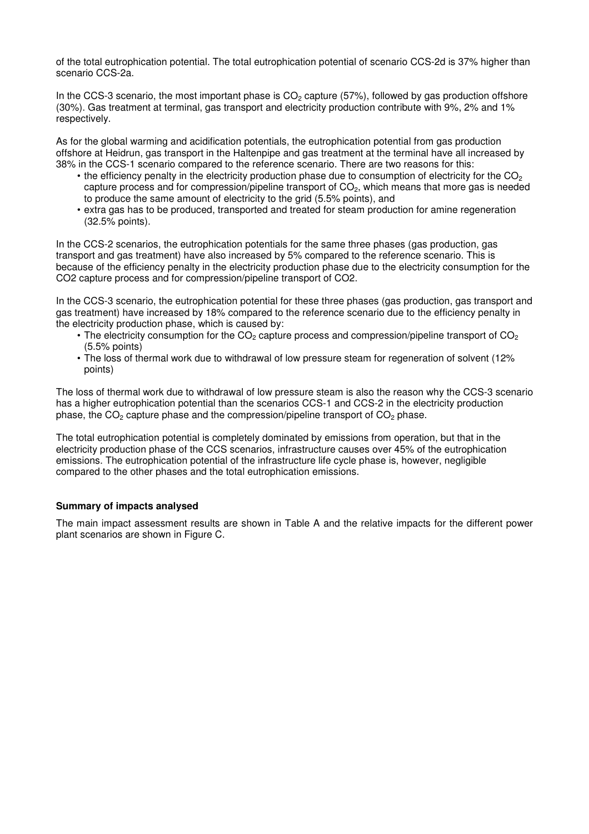of the total eutrophication potential. The total eutrophication potential of scenario CCS-2d is 37% higher than scenario CCS-2a.

In the CCS-3 scenario, the most important phase is  $CO<sub>2</sub>$  capture (57%), followed by gas production offshore (30%). Gas treatment at terminal, gas transport and electricity production contribute with 9%, 2% and 1% respectively.

As for the global warming and acidification potentials, the eutrophication potential from gas production offshore at Heidrun, gas transport in the Haltenpipe and gas treatment at the terminal have all increased by 38% in the CCS-1 scenario compared to the reference scenario. There are two reasons for this:

- the efficiency penalty in the electricity production phase due to consumption of electricity for the  $CO<sub>2</sub>$ capture process and for compression/pipeline transport of  $CO<sub>2</sub>$ , which means that more gas is needed to produce the same amount of electricity to the grid (5.5% points), and
- extra gas has to be produced, transported and treated for steam production for amine regeneration (32.5% points).

In the CCS-2 scenarios, the eutrophication potentials for the same three phases (gas production, gas transport and gas treatment) have also increased by 5% compared to the reference scenario. This is because of the efficiency penalty in the electricity production phase due to the electricity consumption for the CO2 capture process and for compression/pipeline transport of CO2.

In the CCS-3 scenario, the eutrophication potential for these three phases (gas production, gas transport and gas treatment) have increased by 18% compared to the reference scenario due to the efficiency penalty in the electricity production phase, which is caused by:

- The electricity consumption for the  $CO<sub>2</sub>$  capture process and compression/pipeline transport of  $CO<sub>2</sub>$ (5.5% points)
- The loss of thermal work due to withdrawal of low pressure steam for regeneration of solvent (12% points)

The loss of thermal work due to withdrawal of low pressure steam is also the reason why the CCS-3 scenario has a higher eutrophication potential than the scenarios CCS-1 and CCS-2 in the electricity production phase, the  $CO<sub>2</sub>$  capture phase and the compression/pipeline transport of  $CO<sub>2</sub>$  phase.

The total eutrophication potential is completely dominated by emissions from operation, but that in the electricity production phase of the CCS scenarios, infrastructure causes over 45% of the eutrophication emissions. The eutrophication potential of the infrastructure life cycle phase is, however, negligible compared to the other phases and the total eutrophication emissions.

#### **Summary of impacts analysed**

The main impact assessment results are shown in Table A and the relative impacts for the different power plant scenarios are shown in Figure C.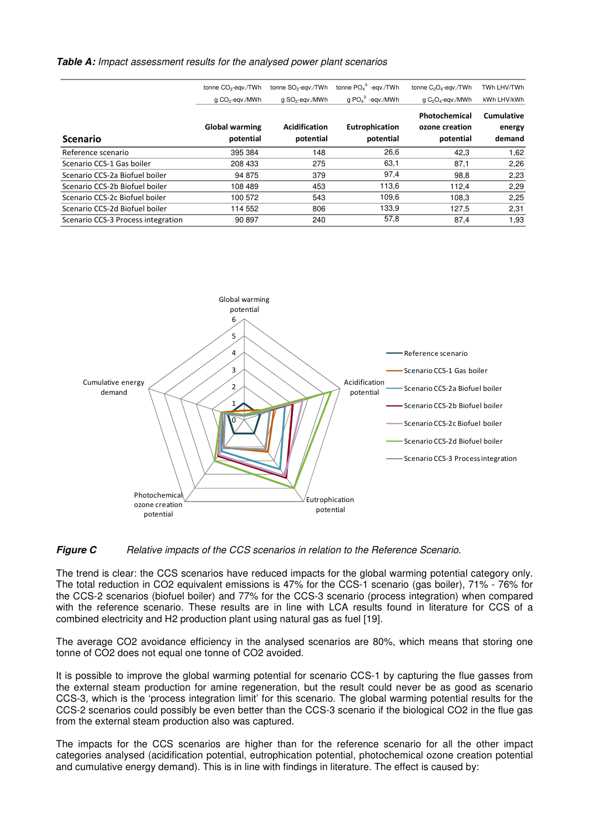#### **Table A:** Impact assessment results for the analysed power plant scenarios

|                                    | tonne CO <sub>2</sub> -eqv./TWh | tonne SO <sub>2</sub> -eqv./TWh | tonne $PO43$ -eqv./TWh | tonne C <sub>2</sub> O <sub>4</sub> -eqv./TWh | TWh LHV/TWh                 |
|------------------------------------|---------------------------------|---------------------------------|------------------------|-----------------------------------------------|-----------------------------|
|                                    | g CO <sub>2</sub> -egv./MWh     | g SO <sub>2</sub> -egv./MWh     | $q PO43-$ -eqv./MWh    | g C <sub>2</sub> O <sub>4</sub> -egv./MWh     | kWh LHV/kWh                 |
|                                    | <b>Global warming</b>           | Acidification                   | Eutrophication         | Photochemical<br>ozone creation               | <b>Cumulative</b><br>energy |
| <b>Scenario</b>                    | potential                       | potential                       | potential              | potential                                     | demand                      |
| Reference scenario                 | 395 384                         | 148                             | 26,6                   | 42.3                                          | 1,62                        |
| Scenario CCS-1 Gas boiler          | 208 433                         | 275                             | 63,1                   | 87,1                                          | 2,26                        |
| Scenario CCS-2a Biofuel boiler     | 94 875                          | 379                             | 97,4                   | 98.8                                          | 2,23                        |
| Scenario CCS-2b Biofuel boiler     | 108 489                         | 453                             | 113,6                  | 112,4                                         | 2,29                        |
| Scenario CCS-2c Biofuel boiler     | 100 572                         | 543                             | 109,6                  | 108.3                                         | 2,25                        |
| Scenario CCS-2d Biofuel boiler     | 114 552                         | 806                             | 133,9                  | 127.5                                         | 2,31                        |
| Scenario CCS-3 Process integration | 90 897                          | 240                             | 57,8                   | 87,4                                          | 1,93                        |



#### **Figure C** Relative impacts of the CCS scenarios in relation to the Reference Scenario.

The trend is clear: the CCS scenarios have reduced impacts for the global warming potential category only. The total reduction in CO2 equivalent emissions is 47% for the CCS-1 scenario (gas boiler), 71% - 76% for the CCS-2 scenarios (biofuel boiler) and 77% for the CCS-3 scenario (process integration) when compared with the reference scenario. These results are in line with LCA results found in literature for CCS of a combined electricity and H2 production plant using natural gas as fuel [19].

The average CO2 avoidance efficiency in the analysed scenarios are 80%, which means that storing one tonne of CO2 does not equal one tonne of CO2 avoided.

It is possible to improve the global warming potential for scenario CCS-1 by capturing the flue gasses from the external steam production for amine regeneration, but the result could never be as good as scenario CCS-3, which is the 'process integration limit' for this scenario. The global warming potential results for the CCS-2 scenarios could possibly be even better than the CCS-3 scenario if the biological CO2 in the flue gas from the external steam production also was captured.

The impacts for the CCS scenarios are higher than for the reference scenario for all the other impact categories analysed (acidification potential, eutrophication potential, photochemical ozone creation potential and cumulative energy demand). This is in line with findings in literature. The effect is caused by: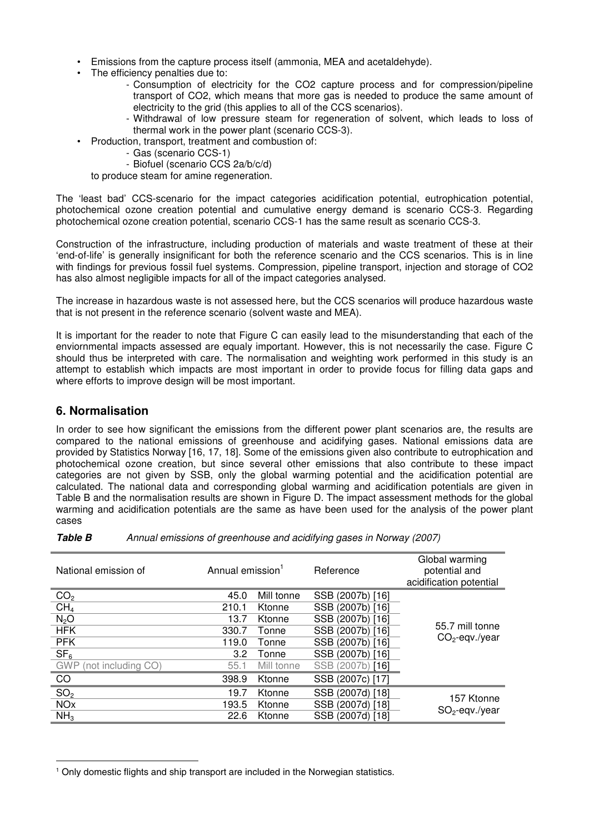- Emissions from the capture process itself (ammonia, MEA and acetaldehyde).
- The efficiency penalties due to:
	- Consumption of electricity for the CO2 capture process and for compression/pipeline transport of CO2, which means that more gas is needed to produce the same amount of electricity to the grid (this applies to all of the CCS scenarios).
	- Withdrawal of low pressure steam for regeneration of solvent, which leads to loss of thermal work in the power plant (scenario CCS-3).
- Production, transport, treatment and combustion of:
	- Gas (scenario CCS-1)
	- Biofuel (scenario CCS 2a/b/c/d)

to produce steam for amine regeneration.

The 'least bad' CCS-scenario for the impact categories acidification potential, eutrophication potential, photochemical ozone creation potential and cumulative energy demand is scenario CCS-3. Regarding photochemical ozone creation potential, scenario CCS-1 has the same result as scenario CCS-3.

Construction of the infrastructure, including production of materials and waste treatment of these at their 'end-of-life' is generally insignificant for both the reference scenario and the CCS scenarios. This is in line with findings for previous fossil fuel systems. Compression, pipeline transport, injection and storage of CO2 has also almost negligible impacts for all of the impact categories analysed.

The increase in hazardous waste is not assessed here, but the CCS scenarios will produce hazardous waste that is not present in the reference scenario (solvent waste and MEA).

It is important for the reader to note that Figure C can easily lead to the misunderstanding that each of the enviornmental impacts assessed are equaly important. However, this is not necessarily the case. Figure C should thus be interpreted with care. The normalisation and weighting work performed in this study is an attempt to establish which impacts are most important in order to provide focus for filling data gaps and where efforts to improve design will be most important.

### **6. Normalisation**

 $\overline{a}$ 

In order to see how significant the emissions from the different power plant scenarios are, the results are compared to the national emissions of greenhouse and acidifying gases. National emissions data are provided by Statistics Norway [16, 17, 18]. Some of the emissions given also contribute to eutrophication and photochemical ozone creation, but since several other emissions that also contribute to these impact categories are not given by SSB, only the global warming potential and the acidification potential are calculated. The national data and corresponding global warming and acidification potentials are given in Table B and the normalisation results are shown in Figure D. The impact assessment methods for the global warming and acidification potentials are the same as have been used for the analysis of the power plant cases

| <b>Table B</b> | Annual emissions of greenhouse and acidifying gases in Norway (2007) |
|----------------|----------------------------------------------------------------------|
|----------------|----------------------------------------------------------------------|

| National emission of             | Annual emission <sup>1</sup> |            | Reference        | Global warming<br>potential and<br>acidification potential |  |
|----------------------------------|------------------------------|------------|------------------|------------------------------------------------------------|--|
| CO <sub>2</sub>                  | 45.0                         | Mill tonne | SSB (2007b) [16] |                                                            |  |
| CH <sub>4</sub>                  | 210.1                        | Ktonne     | SSB (2007b) [16] | 55.7 mill tonne<br>$CO2$ -eqv./year                        |  |
| $N_2O$                           | 13.7                         | Ktonne     | SSB (2007b) [16] |                                                            |  |
| <b>HFK</b>                       | 330.7                        | Tonne      | SSB (2007b) [16] |                                                            |  |
| <b>PFK</b>                       | 119.0                        | Tonne      | SSB (2007b) [16] |                                                            |  |
| SF <sub>6</sub>                  | 3.2                          | Tonne      | SSB (2007b) [16] |                                                            |  |
| (not including CO)<br><b>GWP</b> | 55.1                         | Mill tonne | SSB (2007b) [16] |                                                            |  |
| CO                               | 398.9                        | Ktonne     | SSB (2007c) [17] |                                                            |  |
| SO <sub>2</sub>                  | 19.7                         | Ktonne     | SSB (2007d) [18] |                                                            |  |
| <b>NO<sub>x</sub></b>            | 193.5                        | Ktonne     | SSB (2007d) [18] | 157 Ktonne<br>$SO2$ -eqv./year                             |  |
| NH <sub>3</sub>                  | 22.6                         | Ktonne     | SSB (2007d) [18] |                                                            |  |

<sup>&</sup>lt;sup>1</sup> Only domestic flights and ship transport are included in the Norwegian statistics.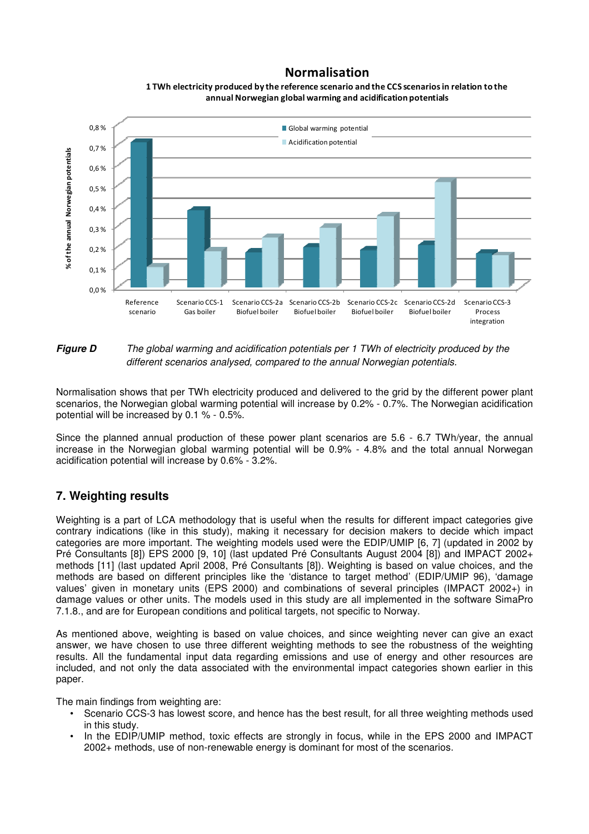### Normalisation



1 TWh electricity produced by the reference scenario and the CCS scenarios in relation to the annual Norwegian global warming and acidification potentials

### **Figure D** The global warming and acidification potentials per 1 TWh of electricity produced by the different scenarios analysed, compared to the annual Norwegian potentials.

Normalisation shows that per TWh electricity produced and delivered to the grid by the different power plant scenarios, the Norwegian global warming potential will increase by 0.2% - 0.7%. The Norwegian acidification potential will be increased by 0.1 % - 0.5%.

Since the planned annual production of these power plant scenarios are 5.6 - 6.7 TWh/year, the annual increase in the Norwegian global warming potential will be 0.9% - 4.8% and the total annual Norwegan acidification potential will increase by 0.6% - 3.2%.

## **7. Weighting results**

Weighting is a part of LCA methodology that is useful when the results for different impact categories give contrary indications (like in this study), making it necessary for decision makers to decide which impact categories are more important. The weighting models used were the EDIP/UMIP [6, 7] (updated in 2002 by Pré Consultants [8]) EPS 2000 [9, 10] (last updated Pré Consultants August 2004 [8]) and IMPACT 2002+ methods [11] (last updated April 2008, Pré Consultants [8]). Weighting is based on value choices, and the methods are based on different principles like the 'distance to target method' (EDIP/UMIP 96), 'damage values' given in monetary units (EPS 2000) and combinations of several principles (IMPACT 2002+) in damage values or other units. The models used in this study are all implemented in the software SimaPro 7.1.8., and are for European conditions and political targets, not specific to Norway.

As mentioned above, weighting is based on value choices, and since weighting never can give an exact answer, we have chosen to use three different weighting methods to see the robustness of the weighting results. All the fundamental input data regarding emissions and use of energy and other resources are included, and not only the data associated with the environmental impact categories shown earlier in this paper.

The main findings from weighting are:

- Scenario CCS-3 has lowest score, and hence has the best result, for all three weighting methods used in this study.
- In the EDIP/UMIP method, toxic effects are strongly in focus, while in the EPS 2000 and IMPACT 2002+ methods, use of non-renewable energy is dominant for most of the scenarios.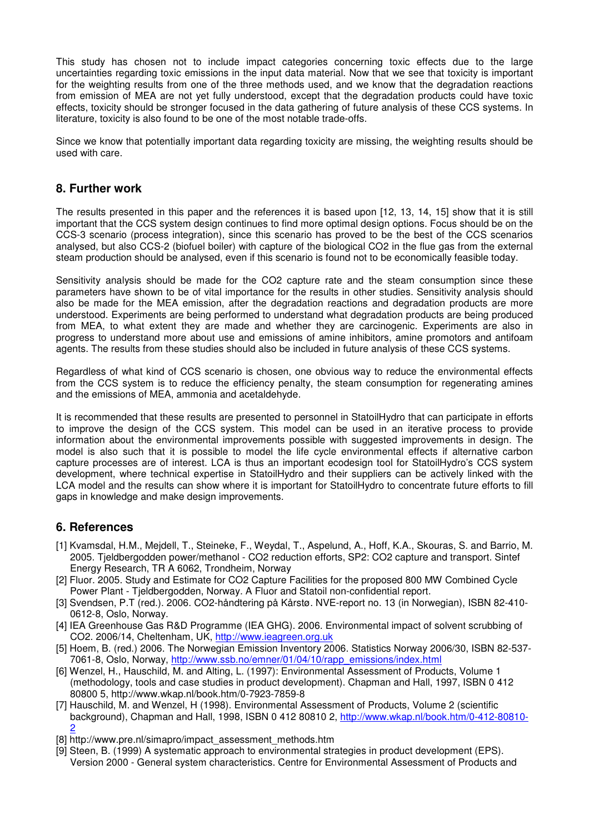This study has chosen not to include impact categories concerning toxic effects due to the large uncertainties regarding toxic emissions in the input data material. Now that we see that toxicity is important for the weighting results from one of the three methods used, and we know that the degradation reactions from emission of MEA are not yet fully understood, except that the degradation products could have toxic effects, toxicity should be stronger focused in the data gathering of future analysis of these CCS systems. In literature, toxicity is also found to be one of the most notable trade-offs.

Since we know that potentially important data regarding toxicity are missing, the weighting results should be used with care.

### **8. Further work**

The results presented in this paper and the references it is based upon [12, 13, 14, 15] show that it is still important that the CCS system design continues to find more optimal design options. Focus should be on the CCS-3 scenario (process integration), since this scenario has proved to be the best of the CCS scenarios analysed, but also CCS-2 (biofuel boiler) with capture of the biological CO2 in the flue gas from the external steam production should be analysed, even if this scenario is found not to be economically feasible today.

Sensitivity analysis should be made for the CO2 capture rate and the steam consumption since these parameters have shown to be of vital importance for the results in other studies. Sensitivity analysis should also be made for the MEA emission, after the degradation reactions and degradation products are more understood. Experiments are being performed to understand what degradation products are being produced from MEA, to what extent they are made and whether they are carcinogenic. Experiments are also in progress to understand more about use and emissions of amine inhibitors, amine promotors and antifoam agents. The results from these studies should also be included in future analysis of these CCS systems.

Regardless of what kind of CCS scenario is chosen, one obvious way to reduce the environmental effects from the CCS system is to reduce the efficiency penalty, the steam consumption for regenerating amines and the emissions of MEA, ammonia and acetaldehyde.

It is recommended that these results are presented to personnel in StatoilHydro that can participate in efforts to improve the design of the CCS system. This model can be used in an iterative process to provide information about the environmental improvements possible with suggested improvements in design. The model is also such that it is possible to model the life cycle environmental effects if alternative carbon capture processes are of interest. LCA is thus an important ecodesign tool for StatoilHydro's CCS system development, where technical expertise in StatoilHydro and their suppliers can be actively linked with the LCA model and the results can show where it is important for StatoilHydro to concentrate future efforts to fill gaps in knowledge and make design improvements.

### **6. References**

- [1] Kvamsdal, H.M., Mejdell, T., Steineke, F., Weydal, T., Aspelund, A., Hoff, K.A., Skouras, S. and Barrio, M. 2005. Tjeldbergodden power/methanol - CO2 reduction efforts, SP2: CO2 capture and transport. Sintef Energy Research, TR A 6062, Trondheim, Norway
- [2] Fluor. 2005. Study and Estimate for CO2 Capture Facilities for the proposed 800 MW Combined Cycle Power Plant - Tjeldbergodden, Norway. A Fluor and Statoil non-confidential report.
- [3] Svendsen, P.T (red.). 2006. CO2-håndtering på Kårstø. NVE-report no. 13 (in Norwegian), ISBN 82-410- 0612-8, Oslo, Norway.
- [4] IEA Greenhouse Gas R&D Programme (IEA GHG). 2006. Environmental impact of solvent scrubbing of CO2. 2006/14, Cheltenham, UK, http://www.ieagreen.org.uk
- [5] Hoem, B. (red.) 2006. The Norwegian Emission Inventory 2006. Statistics Norway 2006/30, ISBN 82-537- 7061-8, Oslo, Norway, http://www.ssb.no/emner/01/04/10/rapp\_emissions/index.html
- [6] Wenzel, H., Hauschild, M. and Alting, L. (1997): Environmental Assessment of Products, Volume 1 (methodology, tools and case studies in product development). Chapman and Hall, 1997, ISBN 0 412 80800 5, http://www.wkap.nl/book.htm/0-7923-7859-8
- [7] Hauschild, M. and Wenzel, H (1998). Environmental Assessment of Products, Volume 2 (scientific background), Chapman and Hall, 1998, ISBN 0 412 80810 2, http://www.wkap.nl/book.htm/0-412-80810- 2
- [8] http://www.pre.nl/simapro/impact\_assessment\_methods.htm
- [9] Steen, B. (1999) A systematic approach to environmental strategies in product development (EPS). Version 2000 - General system characteristics. Centre for Environmental Assessment of Products and